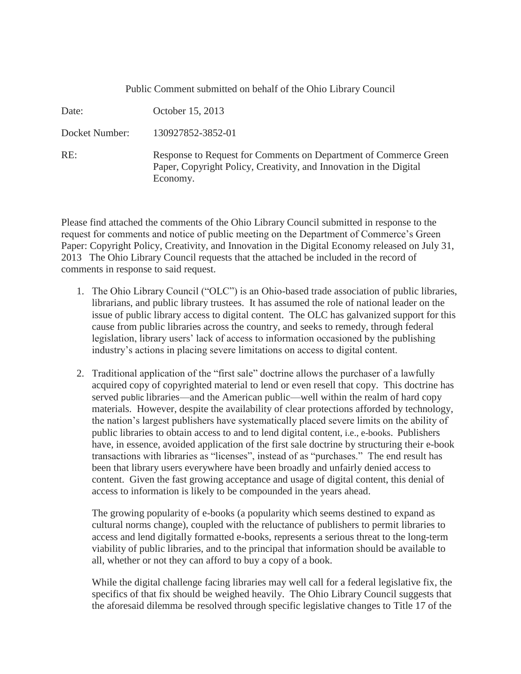| Public Comment submitted on behalf of the Ohio Library Council |                                                                                                                                                    |
|----------------------------------------------------------------|----------------------------------------------------------------------------------------------------------------------------------------------------|
| Date:                                                          | October 15, 2013                                                                                                                                   |
| Docket Number:                                                 | 130927852-3852-01                                                                                                                                  |
| RE:                                                            | Response to Request for Comments on Department of Commerce Green<br>Paper, Copyright Policy, Creativity, and Innovation in the Digital<br>Economy. |

Please find attached the comments of the Ohio Library Council submitted in response to the request for comments and notice of public meeting on the Department of Commerce's Green Paper: Copyright Policy, Creativity, and Innovation in the Digital Economy released on July 31, 2013 The Ohio Library Council requests that the attached be included in the record of comments in response to said request.

- 1. The Ohio Library Council ("OLC") is an Ohio-based trade association of public libraries, librarians, and public library trustees. It has assumed the role of national leader on the issue of public library access to digital content. The OLC has galvanized support for this cause from public libraries across the country, and seeks to remedy, through federal legislation, library users' lack of access to information occasioned by the publishing industry's actions in placing severe limitations on access to digital content.
- 2. Traditional application of the "first sale" doctrine allows the purchaser of a lawfully acquired copy of copyrighted material to lend or even resell that copy. This doctrine has served public libraries—and the American public—well within the realm of hard copy materials. However, despite the availability of clear protections afforded by technology, the nation's largest publishers have systematically placed severe limits on the ability of public libraries to obtain access to and to lend digital content, i.e., e-books. Publishers have, in essence, avoided application of the first sale doctrine by structuring their e-book transactions with libraries as "licenses", instead of as "purchases." The end result has been that library users everywhere have been broadly and unfairly denied access to content. Given the fast growing acceptance and usage of digital content, this denial of access to information is likely to be compounded in the years ahead.

The growing popularity of e-books (a popularity which seems destined to expand as cultural norms change), coupled with the reluctance of publishers to permit libraries to access and lend digitally formatted e-books, represents a serious threat to the long-term viability of public libraries, and to the principal that information should be available to all, whether or not they can afford to buy a copy of a book.

While the digital challenge facing libraries may well call for a federal legislative fix, the specifics of that fix should be weighed heavily. The Ohio Library Council suggests that the aforesaid dilemma be resolved through specific legislative changes to Title 17 of the